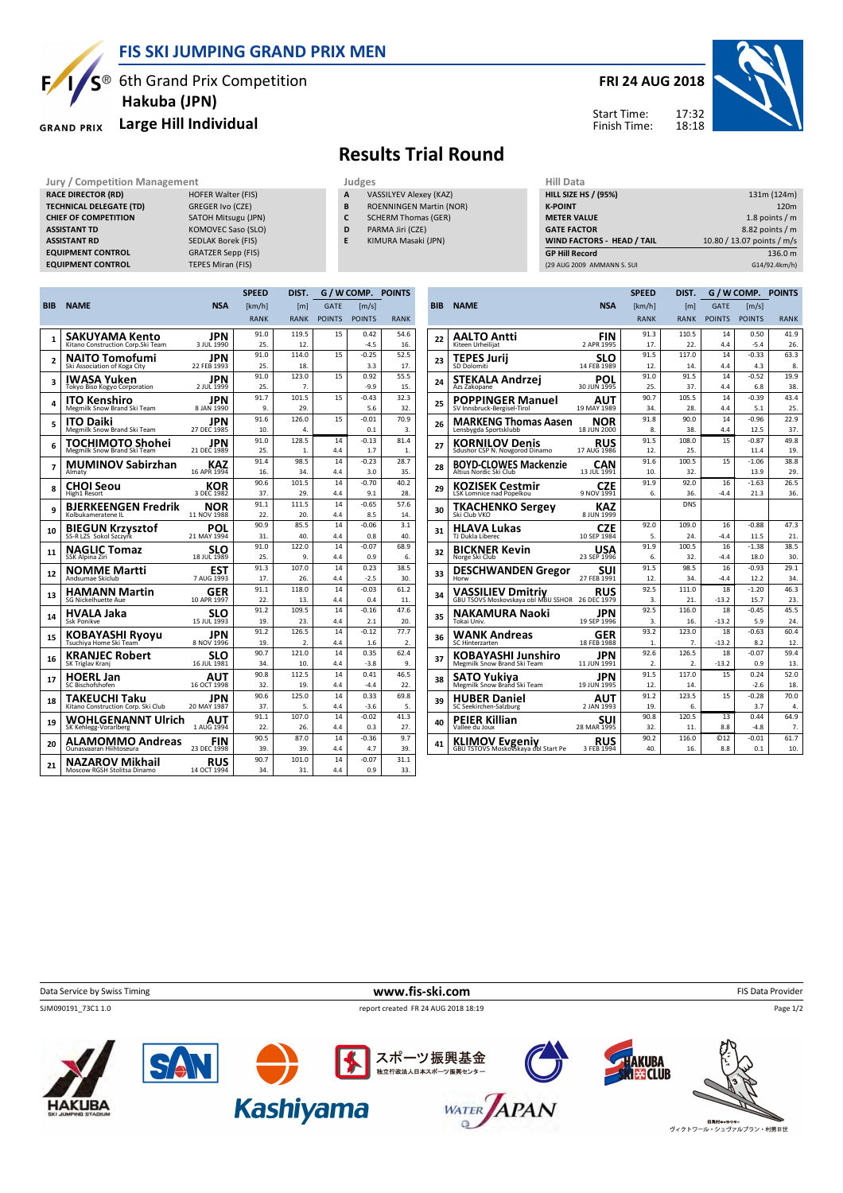

#### **FIS SKI JUMPING GRAND PRIX MEN**

 $S^{\circledast}$  6th Grand Prix Competition  **Hakuba (JPN)**

#### **Large Hill Individual GRAND PRIX**

### **FRI 24 AUG 2018**

17:32 18:18 Start Time: Finish Time:



# **Results Trial Round**

- **A** VASSILYEV Alexey (KAZ) **B** ROENNINGEN Martin (NOR)
- **C** SCHERM Thomas (GER)
- **D** PARMA Jiri (CZE)
- **E** KIMURA Masaki (JPN)

| Jury / Competition Management  |                           |   | Judges                         | Hill Data                         |                            |  |
|--------------------------------|---------------------------|---|--------------------------------|-----------------------------------|----------------------------|--|
| <b>RACE DIRECTOR (RD)</b>      | <b>HOFER Walter (FIS)</b> | A | VASSILYEV Alexey (KAZ)         | <b>HILL SIZE HS / (95%)</b>       | 131m (124m)                |  |
| <b>TECHNICAL DELEGATE (TD)</b> | GREGER Ivo (CZE)          | В | <b>ROENNINGEN Martin (NOR)</b> | <b>K-POINT</b>                    | 120 <sub>m</sub>           |  |
| <b>CHIEF OF COMPETITION</b>    | SATOH Mitsugu (JPN)       |   | <b>SCHERM Thomas (GER)</b>     | <b>METER VALUE</b>                | 1.8 points $/m$            |  |
| <b>ASSISTANT TD</b>            | KOMOVEC Saso (SLO)        | D | PARMA Jiri (CZE)               | <b>GATE FACTOR</b>                | $8.82$ points / m          |  |
| <b>ASSISTANT RD</b>            | SEDLAK Borek (FIS)        |   | KIMURA Masaki (JPN)            | <b>WIND FACTORS - HEAD / TAIL</b> | 10.80 / 13.07 points / m/s |  |
| <b>EQUIPMENT CONTROL</b>       | <b>GRATZER Sepp (FIS)</b> |   |                                | <b>GP Hill Record</b>             | 136.0 m                    |  |
| <b>EQUIPMENT CONTROL</b>       | TEPES Miran (FIS)         |   |                                | (29 AUG 2009 AMMANN S. SUI        | G14/92.4km/h)              |  |

|                |                                                 |                                   | <b>SPEED</b> | DIST.                     | G / W COMP.   |                | <b>POINTS</b>            |
|----------------|-------------------------------------------------|-----------------------------------|--------------|---------------------------|---------------|----------------|--------------------------|
| <b>BIB</b>     | <b>NAME</b>                                     | <b>NSA</b>                        | [km/h]       | [m]                       | <b>GATE</b>   | [m/s]          |                          |
|                |                                                 |                                   | <b>RANK</b>  | <b>RANK</b>               | <b>POINTS</b> | <b>POINTS</b>  | <b>RANK</b>              |
|                | SAKUYAMA Kento                                  | JPN                               | 91.0         | 119.5                     | 15            | 0.42           | 54.6                     |
| $\mathbf{1}$   | Kitano Construction Corp.Ski Team               | 3 JUL 1990                        | 25.          | 12.                       |               | $-4.5$         | 16.                      |
| $\overline{a}$ | <b>NAITO Tomofumi</b>                           | JPN                               | 91.0         | 114.0                     | 15            | $-0.25$        | 52.5                     |
|                | Ski Association of Koga City                    | 22 FEB 1993                       | 25.          | 18.                       |               | 3.3            | 17.                      |
| 3              | IWASA Yuken<br>Tokyo Biso Kogyo Corporation     | JPN<br>2 JUL 1999                 | 91.0<br>25.  | 123.0<br>7.               | 15            | 0.92<br>$-9.9$ | 55.5<br>15.              |
| 4              | <b>ITO Kenshiro</b>                             | JPN                               | 91.7         | 101.5                     | 15            | $-0.43$        | 32.3                     |
|                | Megmilk Snow Brand Ski Team                     | 8 JAN 1990                        | 9.           | 29.                       |               | 5.6            | 32.                      |
| 5              | <b>ITO Daiki</b>                                | JPN                               | 91.6         | 126.0                     | 15            | $-0.01$        | 70.9                     |
|                | Megmilk Snow Brand Ski Team                     | 27 DEC 1985                       | 10.          | 4.                        |               | 0.1            | 3.                       |
| 6              | TOCHIMOTO Shohei<br>Megmilk Snow Brand Ski Team | JPN<br>21 DEC 1989                | 91.0<br>25.  | 128.5<br>1.               | 14<br>4.4     | $-0.13$<br>1.7 | 81.4<br>1.               |
|                | <b>MUMINOV Sabirzhan</b>                        | KAZ                               | 91.4         | 98.5                      | 14            | $-0.23$        | 28.7                     |
| 7              | Almaty                                          | 16 APR 1994                       | 16.          | 34.                       | 4.4           | 3.0            | 35.                      |
| 8              | CHOI Seou                                       | KOR                               | 90.6         | 101.5                     | 14            | $-0.70$        | 40.2                     |
|                | High1 Resort                                    | 3 DEC 1982                        | 37.          | 29.                       | 4.4           | 9.1            | 28.                      |
| 9              | <b>BJERKEENGEN Fredrik</b>                      | NOR                               | 91.1         | 111.5                     | 14            | $-0.65$        | 57.6                     |
|                | Kolbukameratene IL                              | 11 NOV 1988                       | 22.          | 20.                       | 4.4           | 8.5            | 14.                      |
| 10             | <b>BIEGUN Krzysztof</b>                         | POL<br>21 MAY 1994                | 90.9<br>31.  | 85.5<br>40.               | 14<br>4.4     | $-0.06$<br>0.8 | 3.1<br>40.               |
|                |                                                 |                                   | 91.0         | 122.0                     | 14            | $-0.07$        | 68.9                     |
| 11             | <b>NAGLIC Tomaz</b><br>SSK Alpina Ziri          | SLO<br>18 JUL 1989                | 25.          | 9.                        | 4.4           | 0.9            | 6.                       |
|                | <b>NOMME Martti</b>                             | <b>EST</b>                        | 91.3         | 107.0                     | 14            | 0.23           | 38.5                     |
| 12             | Andsumae Skiclub                                | 7 AUG 1993                        | 17.          | 26.                       | 4.4           | $-2.5$         | 30.                      |
| 13             | <b>HAMANN Martin</b>                            | GER                               | 91.1         | 118.0                     | 14            | $-0.03$        | 61.2                     |
|                | SG Nickelhuette Aue                             | 10 APR 1997                       | 22.          | 13.                       | 4.4           | 0.4            | 11.                      |
| 14             | HVALA Jaka                                      | <b>SLO</b> <sub>15</sub> JUL 1993 | 91.2         | 109.5                     | 14            | $-0.16$        | 47.6                     |
|                | Ssk Ponikve                                     |                                   | 19.          | 23.                       | 4.4           | 2.1            | 20.                      |
| 15             | KOBAYASHI Ryoyu                                 | JPN<br>8 NOV 1996                 | 91.2<br>19.  | 126.5<br>$\overline{2}$ . | 14<br>4.4     | $-0.12$<br>1.6 | 77.7<br>$\overline{2}$ . |
|                |                                                 |                                   | 90.7         | 121.0                     | 14            | 0.35           | 62.4                     |
| 16             | <b>KRANJEC Robert</b><br>SK Triglav Kranj       | SLO<br>16 JUL 1981                | 34.          | 10.                       | 4.4           | $-3.8$         | 9.                       |
|                | <b>HOERL Jan</b>                                | AUT                               | 90.8         | 112.5                     | 14            | 0.41           | 46.5                     |
| 17             | SC Bischofshofen                                | 16 OCT 1998                       | 32.          | 19.                       | 4.4           | $-4.4$         | 22.                      |
| 18             | TAKEUCHI Taku                                   | JPN                               | 90.6         | 125.0                     | 14            | 0.33           | 69.8                     |
|                | Kitano Construction Corp. Ski Club              | 20 MAY 1987                       | 37.          | 5.                        | 4.4           | $-3.6$         | 5.                       |
| 19             | <b>WOHLGENANNT Ulrich</b>                       | AUT<br>1 AUG 1994                 | 91.1         | 107.0                     | 14            | $-0.02$        | 41.3                     |
|                | SK Kehlegg-Vorarlberg                           |                                   | 22.<br>90.5  | 26.<br>87.0               | 4.4<br>14     | 0.3<br>$-0.36$ | 27.<br>9.7               |
| 20             | ALAMOMMO Andreas<br>Ounasyaaran Hiihtoseura     | FIN<br>23 DEC 1998                | 39.          | 39.                       | 4.4           | 4.7            | 39.                      |
|                | <b>NAZAROV Mikhail</b>                          | RUS                               | 90.7         | 101.0                     | 14            | $-0.07$        | 31.1                     |
| 21             | Moscow RGSH Stolitsa Dinamo                     | 14 OCT 1994                       | 34.          | 31.                       | 4.4           | 0.9            | 33.                      |
|                |                                                 |                                   |              |                           |               |                |                          |

|            |                                                                 |                           | <b>SPEED</b>     | DIST.            | G / W COMP.   |                     | <b>POINTS</b> |
|------------|-----------------------------------------------------------------|---------------------------|------------------|------------------|---------------|---------------------|---------------|
| <b>BIB</b> | <b>NAME</b>                                                     | <b>NSA</b>                | [km/h]           | [m]              | GATE          | $\lceil m/s \rceil$ |               |
|            |                                                                 |                           | <b>RANK</b>      | <b>RANK</b>      | <b>POINTS</b> | <b>POINTS</b>       | <b>RANK</b>   |
|            | <b>AALTO Antti</b>                                              | <b>FIN</b>                | 91.3             | 110.5            | 14            | 0.50                | 41.9          |
| 22         | Kiteen Urheilijat                                               | 2 APR 1995                | 17.              | 22.              | 4.4           | $-5.4$              | 26.           |
| 23         | <b>TEPES Jurij</b>                                              | SLO                       | 91.5             | 117.0            | 14            | $-0.33$             | 63.3          |
|            | SD Dolomiti                                                     | 14 FEB 1989               | 12.              | 14.              | 4.4           | 4.3                 | 8.            |
| 24         | STEKALA Andrzej                                                 | POL                       | 91.0             | 91.5             | 14            | $-0.52$             | 19.9          |
|            | Azs Zakopane                                                    | 30 JUN 1995               | 25.              | 37.              | 4.4           | 6.8                 | 38.           |
| 25         | <b>POPPINGER Manuel</b>                                         | AUT                       | 90.7             | 105.5            | 14            | $-0.39$             | 43.4          |
|            | SV Innsbruck-Bergisel-Tirol                                     | 19 MAY 1989               | 34.              | 28.              | 4.4           | 5.1<br>$-0.96$      | 25.           |
| 26         | <b>MARKENG Thomas Aasen</b><br>Lensbygda Sportsklubb            | NOR<br>18 JUN 2000        | 91.8<br>8.       | 90.0<br>38.      | 14<br>4.4     | 12.5                | 22.9<br>37.   |
|            |                                                                 |                           | 91.5             | 108.0            | 15            | $-0.87$             | 49.8          |
| 27         | <b>KORNILOV Denis</b><br>Sdushor CSP N. Novgorod Dinamo         | <b>RUS</b><br>17 AUG 1986 | 12.              | 25.              |               | 11.4                | 19.           |
|            | <b>BOYD-CLOWES Mackenzie</b>                                    | CAN                       | 91.6             | 100.5            | 15            | $-1.06$             | 38.8          |
| 28         | Altius Nordic Ski Club                                          | 13 JUL 1991               | 10.              | 32.              |               | 13.9                | 29.           |
|            | <b>KOZISEK Cestmir</b>                                          | CZE                       | 91.9             | 92.0             | 16            | $-1.63$             | 26.5          |
| 29         | LSK Lomnice nad Popelkou                                        | 9 NOV 1991                | 6.               | 36.              | $-4.4$        | 21.3                | 36.           |
| 30         | <b>TKACHENKO Sergey</b><br>Ski Club VKO                         | <b>KAZ</b><br>8 JUN 1999  |                  | <b>DNS</b>       |               |                     |               |
| 31         | <b>HLAVA Lukas</b>                                              | CZE                       | 92.0             | 109.0            | 16            | $-0.88$             | 47.3          |
|            | TJ Dukla Liberec                                                | 10 SEP 1984               | 5.               | 24.              | $-4.4$        | 11.5                | 21.           |
| 32         | <b>BICKNER Kevin</b>                                            | <b>USA</b>                | 91.9             | 100.5            | 16            | $-1.38$             | 38.5          |
|            | Norge Ski Club                                                  | 23 SEP 1996               | 6.               | 32.              | $-4.4$        | 18.0                | 30.           |
| 33         | <b>DESCHWANDEN Gregor</b>                                       | sui                       | 91.5             | 98.5             | 16            | $-0.93$             | 29.1          |
|            | Horw                                                            | 27 FEB 1991               | 12.              | 34.              | $-4.4$        | 12.2                | 34.           |
| 34         | <b>VASSILIEV Dmitriv</b><br>GBU TSOVS Moskovskaya obl MBU SSHOR | RUS<br>26 DEC 1979        | 92.5<br>3.       | 111.0<br>21.     | 18<br>$-13.2$ | $-1.20$<br>15.7     | 46.3<br>23.   |
|            |                                                                 |                           | 92.5             | 116.0            | 18            | $-0.45$             | 45.5          |
| 35         | <b>NAKAMURA Naoki</b><br>Tokai Univ.                            | JPN<br>19 SEP 1996        | 3.               | 16.              | $-13.2$       | 5.9                 | 24.           |
|            | <b>WANK Andreas</b>                                             | GER                       | 93.2             | 123.0            | 18            | $-0.63$             | 60.4          |
| 36         | SC Hinterzarten                                                 | 18 FEB 1988               | 1.               | 7.               | $-13.2$       | 8.2                 | 12.           |
| 37         | <b>KOBAYASHI Junshiro</b>                                       | JPN                       | 92.6             | 126.5            | 18            | $-0.07$             | 59.4          |
|            | Megmilk Snow Brand Ski Team                                     | 11 JUN 1991               | $\overline{2}$ . | $\overline{2}$ . | $-13.2$       | 0.9                 | 13.           |
| 38         | SATO Yukiya                                                     | JPN                       | 91.5             | 117.0            | 15            | 0.24                | 52.0          |
|            | Megmilk Snow Brand Ski Team                                     | 19 JUN 1995               | 12.              | 14.              |               | $-2.6$              | 18.           |
| 39         | <b>HUBER Daniel</b>                                             | AUT                       | 91.2             | 123.5            | 15            | $-0.28$             | 70.0          |
|            | SC Seekirchen-Salzburg                                          | 2 JAN 1993                | 19.              | 6.               |               | 3.7                 | 4.            |
| 40         | <b>PEIER Killian</b>                                            | <b>SUI</b><br>28 MAR 1995 | 90.8             | 120.5            | 13            | 0.44                | 64.9          |
|            | Vallee du Joux                                                  |                           | 32.              | 11.              | 8.8           | $-4.8$              | 7.            |
| 41         | <b>KLIMOV Evgeniy</b><br>GBU TSTOVS Moskovskaya obl Start Pe    | <b>RUS</b>                | 90.2<br>40.      | 116.0<br>16.     | ©12           | $-0.01$<br>0.1      | 61.7          |
|            |                                                                 | 3 FEB 1994                |                  |                  | 8.8           |                     | 10.           |

**Data Service by Swiss Timing** FIS Data Provider **www.fis-ski.com** FIS Data Provider SJM090191\_73C1 1.0 report created FR 24 AUG 2018 18:19

Page 1/2





**Kashiyama** 





**白馬村キッラクター (白馬村キッラクター)**<br>ヴィクトワール・シュヴァルプラン・村男Ⅲ世